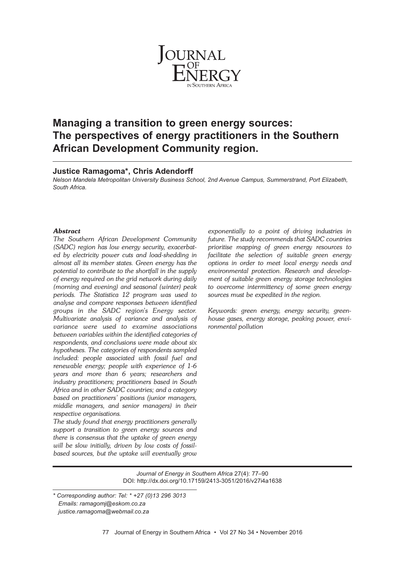

# **Managing a transition to green energy sources: The perspectives of energy practitioners in the Southern African Development Community region.**

# **Justice Ramagoma\*, Chris Adendorff**

*Nelson Mandela Metropolitan University Business School, 2nd Avenue Campus, Summerstrand, Port Elizabeth, South Africa.*

# *Abstract*

*The Southern African Development Community (SADC) region has low energy security, exacerbated by electricity power cuts and load-shedding in almost all its member states. Green energy has the potential to contribute to the shortfall in the supply of energy required on the grid network during daily (morning and evening) and seasonal (winter) peak periods. The Statistica 12 program was used to analyse and compare responses between identified groups in the SADC region's Energy sector. Multivariate analysis of variance and analysis of variance were used to examine associations between variables within the identified categories of respondents, and conclusions were made about six hypotheses. The categories of respondents sampled included: people associated with fossil fuel and renewable energy; people with experience of 1-6 years and more than 6 years; researchers and industry practitioners; practitioners based in South Africa and in other SADC countries; and a category based on practitioners' positions (junior managers, middle managers, and senior managers) in their respective organisations.*

*The study found that energy practitioners generally support a transition to green energy sources and there is consensus that the uptake of green energy will be slow initially, driven by low costs of fossilbased sources, but the uptake will eventually grow*

*exponentially to a point of driving industries in future. The study recommends that SADC countries prioritise mapping of green energy resources to facilitate the selection of suitable green energy options in order to meet local energy needs and environmental protection. Research and development of suitable green energy storage technologies to overcome intermittency of some green energy sources must be expedited in the region.*

*Keywords: green energy, energy security, greenhouse gases, energy storage, peaking power, environmental pollution*

*Journal of Energy in Southern Africa* 27(4): 77–90 DOI: http://dx.doi.org/10.17159/2413-3051/2016/v27i4a1638

*<sup>\*</sup> Corresponding author: Tel: \* +27 (0)13 296 3013 Emails: ramagomj@eskom.co.za justice.ramagoma@webmail.co.za*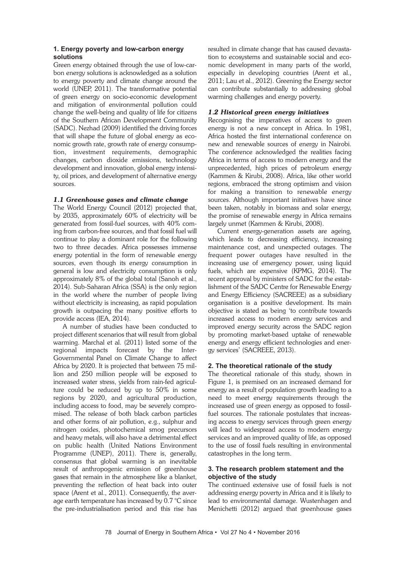# **1. Energy poverty and low-carbon energy solutions**

Green energy obtained through the use of low-carbon energy solutions is acknowledged as a solution to energy poverty and climate change around the world (UNEP, 2011). The transformative potential of green energy on socio-economic development and mitigation of environmental pollution could change the well-being and quality of life for citizens of the Southern African Development Community (SADC). Nezhad (2009) identified the driving forces that will shape the future of global energy as economic growth rate, growth rate of energy consumption, investment requirements, demographic changes, carbon dioxide emissions, technology development and innovation, global energy intensity, oil prices, and development of alternative energy sources.

# *1.1 Greenhouse gases and climate change*

The World Energy Council (2012) projected that, by 2035, approximately 60% of electricity will be generated from fossil-fuel sources, with 40% coming from carbon-free sources, and that fossil fuel will continue to play a dominant role for the following two to three decades. Africa possesses immense energy potential in the form of renewable energy sources, even though its energy consumption in general is low and electricity consumption is only approximately 8% of the global total (Sanoh et al., 2014). Sub-Saharan Africa (SSA) is the only region in the world where the number of people living without electricity is increasing, as rapid population growth is outpacing the many positive efforts to provide access (IEA, 2014).

A number of studies have been conducted to project different scenarios that will result from global warming. Marchal et al. (2011) listed some of the regional impacts forecast by the Inter-Governmental Panel on Climate Change to affect Africa by 2020. It is projected that between 75 million and 250 million people will be exposed to increased water stress, yields from rain-fed agriculture could be reduced by up to 50% in some regions by 2020, and agricultural production, including access to food, may be severely compromised. The release of both black carbon particles and other forms of air pollution, e.g., sulphur and nitrogen oxides, photochemical smog precursors and heavy metals, will also have a detrimental effect on public health (United Nations Environment Programme (UNEP), 2011). There is, generally, consensus that global warming is an inevitable result of anthropogenic emission of greenhouse gases that remain in the atmosphere like a blanket, preventing the reflection of heat back into outer space (Arent et al., 2011). Consequently, the average earth temperature has increased by 0.7 °C since the pre-industrialisation period and this rise has

resulted in climate change that has caused devastation to ecosystems and sustainable social and economic development in many parts of the world, especially in developing countries (Arent et al., 2011; Lau et al., 2012). Greening the Energy sector can contribute substantially to addressing global warming challenges and energy poverty.

# *1.2 Historical green energy initiatives*

Recognising the imperatives of access to green energy is not a new concept in Africa. In 1981, Africa hosted the first international conference on new and renewable sources of energy in Nairobi. The conference acknowledged the realities facing Africa in terms of access to modern energy and the unprecedented, high prices of petroleum energy (Kammen & Kirubi, 2008). Africa, like other world regions, embraced the strong optimism and vision for making a transition to renewable energy sources. Although important initiatives have since been taken, notably in biomass and solar energy, the promise of renewable energy in Africa remains largely unmet (Kammen & Kirubi, 2008).

Current energy-generation assets are ageing, which leads to decreasing efficiency, increasing maintenance cost, and unexpected outages. The frequent power outages have resulted in the increasing use of emergency power, using liquid fuels, which are expensive (KPMG, 2014). The recent approval by ministers of SADC for the establishment of the SADC Centre for Renewable Energy and Energy Efficiency (SACREEE) as a subsidiary organisation is a positive development. Its main objective is stated as being 'to contribute towards increased access to modern energy services and improved energy security across the SADC region by promoting market-based uptake of renewable energy and energy efficient technologies and energy services' (SACREEE, 2013).

# **2. The theoretical rationale of the study**

The theoretical rationale of this study, shown in Figure 1, is premised on an increased demand for energy as a result of population growth leading to a need to meet energy requirements through the increased use of green energy as opposed to fossilfuel sources. The rationale postulates that increasing access to energy services through green energy will lead to widespread access to modern energy services and an improved quality of life, as opposed to the use of fossil fuels resulting in environmental catastrophes in the long term.

# **3. The research problem statement and the objective of the study**

The continued extensive use of fossil fuels is not addressing energy poverty in Africa and it is likely to lead to environmental damage. Wustenhagen and Menichetti (2012) argued that greenhouse gases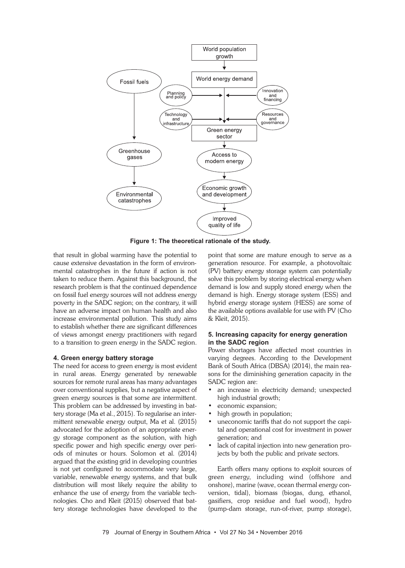

**Figure 1: The theoretical rationale of the study.**

that result in global warming have the potential to cause extensive devastation in the form of environmental catastrophes in the future if action is not taken to reduce them. Against this background, the research problem is that the continued dependence on fossil fuel energy sources will not address energy poverty in the SADC region; on the contrary, it will have an adverse impact on human health and also increase environmental pollution. This study aims to establish whether there are significant differences of views amongst energy practitioners with regard to a transition to green energy in the SADC region.

#### **4. Green energy battery storage**

The need for access to green energy is most evident in rural areas. Energy generated by renewable sources for remote rural areas has many advantages over conventional supplies, but a negative aspect of green energy sources is that some are intermittent. This problem can be addressed by investing in battery storage (Ma et al., 2015). To regularise an intermittent renewable energy output, Ma et al. (2015) advocated for the adoption of an appropriate energy storage component as the solution, with high specific power and high specific energy over periods of minutes or hours. Solomon et al. (2014) argued that the existing grid in developing countries is not yet configured to accommodate very large, variable, renewable energy systems, and that bulk distribution will most likely require the ability to enhance the use of energy from the variable technologies. Cho and Kleit (2015) observed that battery storage technologies have developed to the

point that some are mature enough to serve as a generation resource. For example, a photovoltaic (PV) battery energy storage system can potentially solve this problem by storing electrical energy when demand is low and supply stored energy when the demand is high. Energy storage system (ESS) and hybrid energy storage system (HESS) are some of the available options available for use with PV (Cho & Kleit, 2015).

#### **5. Increasing capacity for energy generation in the SADC region**

Power shortages have affected most countries in varying degrees. According to the Development Bank of South Africa (DBSA) (2014), the main reasons for the diminishing generation capacity in the SADC region are:

- an increase in electricity demand; unexpected high industrial growth;
- economic expansion;
- high growth in population;
- uneconomic tariffs that do not support the capital and operational cost for investment in power generation; and
- lack of capital injection into new generation projects by both the public and private sectors.

Earth offers many options to exploit sources of green energy, including wind (offshore and onshore), marine (wave, ocean thermal energy conversion, tidal), biomass (biogas, dung, ethanol, gasifiers, crop residue and fuel wood), hydro (pump-dam storage, run-of-river, pump storage),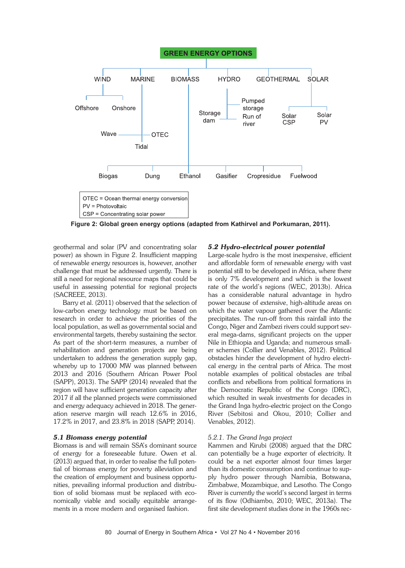

**Figure 2: Global green energy options (adapted from Kathirvel and Porkumaran, 2011).**

geothermal and solar (PV and concentrating solar power) as shown in Figure 2. Insufficient mapping of renewable energy resources is, however, another challenge that must be addressed urgently. There is still a need for regional resource maps that could be useful in assessing potential for regional projects (SACREEE, 2013).

Barry et al. (2011) observed that the selection of low-carbon energy technology must be based on research in order to achieve the priorities of the local population, as well as governmental social and environmental targets, thereby sustaining the sector. As part of the short-term measures, a number of rehabilitation and generation projects are being undertaken to address the generation supply gap, whereby up to 17000 MW was planned between 2013 and 2016 (Southern African Power Pool (SAPP), 2013). The SAPP (2014) revealed that the region will have sufficient generation capacity after 2017 if all the planned projects were commissioned and energy adequacy achieved in 2018. The generation reserve margin will reach 12.6% in 2016, 17.2% in 2017, and 23.8% in 2018 (SAPP, 2014).

#### *5.1 Biomass energy potential*

Biomass is and will remain SSA's dominant source of energy for a foreseeable future. Owen et al. (2013) argued that, in order to realise the full potential of biomass energy for poverty alleviation and the creation of employment and business opportunities, prevailing informal production and distribution of solid biomass must be replaced with economically viable and socially equitable arrangements in a more modern and organised fashion.

#### *5.2 Hydro-electrical power potential*

Large-scale hydro is the most inexpensive, efficient and affordable form of renewable energy with vast potential still to be developed in Africa, where there is only 7% development and which is the lowest rate of the world's regions (WEC, 2013b). Africa has a considerable natural advantage in hydro power because of extensive, high-altitude areas on which the water vapour gathered over the Atlantic precipitates. The run-off from this rainfall into the Congo, Niger and Zambezi rivers could support several mega-dams, significant projects on the upper Nile in Ethiopia and Uganda; and numerous smaller schemes (Collier and Venables, 2012). Political obstacles hinder the development of hydro electrical energy in the central parts of Africa. The most notable examples of political obstacles are tribal conflicts and rebellions from political formations in the Democratic Republic of the Congo (DRC), which resulted in weak investments for decades in the Grand Inga hydro-electric project on the Congo River (Sebitosi and Okou, 2010; Collier and Venables, 2012).

#### *5.2.1. The Grand Inga project*

Kammen and Kirubi (2008) argued that the DRC can potentially be a huge exporter of electricity. It could be a net exporter almost four times larger than its domestic consumption and continue to supply hydro power through Namibia, Botswana, Zimbabwe, Mozambique, and Lesotho. The Congo River is currently the world's second largest in terms of its flow (Odhiambo, 2010; WEC, 2013a). The first site development studies done in the 1960s rec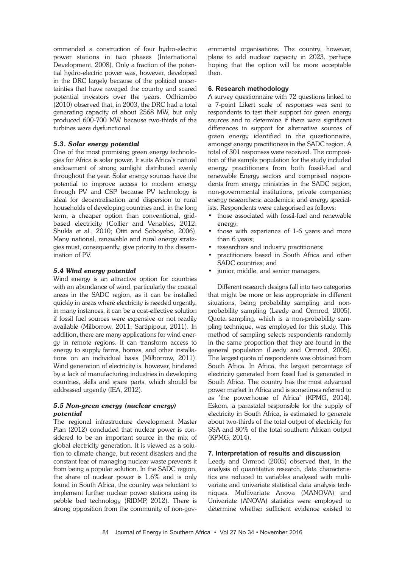ommended a construction of four hydro-electric power stations in two phases (International Development, 2008). Only a fraction of the potential hydro-electric power was, however, developed in the DRC largely because of the political uncertainties that have ravaged the country and scared potential investors over the years. Odhiambo (2010) observed that, in 2003, the DRC had a total generating capacity of about 2568 MW, but only produced 600-700 MW because two-thirds of the turbines were dysfunctional.

# *5.3. Solar energy potential*

One of the most promising green energy technologies for Africa is solar power. It suits Africa's natural endowment of strong sunlight distributed evenly throughout the year. Solar energy sources have the potential to improve access to modern energy through PV and CSP because PV technology is ideal for decentralisation and dispersion to rural households of developing countries and, in the long term, a cheaper option than conventional, gridbased electricity (Collier and Venables, 2012; Shukla et al., 2010; Otiti and Soboyebo, 2006). Many national, renewable and rural energy strategies must, consequently, give priority to the dissemination of PV.

# *5.4 Wind energy potential*

Wind energy is an attractive option for countries with an abundance of wind, particularly the coastal areas in the SADC region, as it can be installed quickly in areas where electricity is needed urgently, in many instances, it can be a cost-effective solution if fossil fuel sources were expensive or not readily available (Milborrow, 2011; Sartipipour, 2011). In addition, there are many applications for wind energy in remote regions. It can transform access to energy to supply farms, homes, and other installations on an individual basis (Milborrow, 2011). Wind generation of electricity is, however, hindered by a lack of manufacturing industries in developing countries, skills and spare parts, which should be addressed urgently (IEA, 2012).

# *5.5 Non-green energy (nuclear energy) potential*

The regional infrastructure development Master Plan (2012) concluded that nuclear power is considered to be an important source in the mix of global electricity generation. It is viewed as a solution to climate change, but recent disasters and the constant fear of managing nuclear waste prevents it from being a popular solution. In the SADC region, the share of nuclear power is 1.6% and is only found in South Africa, the country was reluctant to implement further nuclear power stations using its pebble bed technology (RIDMP, 2012). There is strong opposition from the community of non-governmental organisations. The country, however, plans to add nuclear capacity in 2023, perhaps hoping that the option will be more acceptable then.

# **6. Research methodology**

A survey questionnaire with 72 questions linked to a 7-point Likert scale of responses was sent to respondents to test their support for green energy sources and to determine if there were significant differences in support for alternative sources of green energy identified in the questionnaire, amongst energy practitioners in the SADC region. A total of 301 responses were received. The composition of the sample population for the study included energy practitioners from both fossil-fuel and renewable Energy sectors and comprised respondents from energy ministries in the SADC region, non-governmental institutions, private companies; energy researchers; academics; and energy specialists. Respondents were categorised as follows:

- those associated with fossil-fuel and renewable energy;
- those with experience of 1-6 years and more than 6 years;
- researchers and industry practitioners;
- practitioners based in South Africa and other SADC countries; and
- junior, middle, and senior managers.

Different research designs fall into two categories that might be more or less appropriate in different situations, being probability sampling and nonprobability sampling (Leedy and Ormrod, 2005). Quota sampling, which is a non-probability sampling technique, was employed for this study. This method of sampling selects respondents randomly in the same proportion that they are found in the general population (Leedy and Ormrod, 2005). The largest quota of respondents was obtained from South Africa. In Africa, the largest percentage of electricity generated from fossil fuel is generated in South Africa. The country has the most advanced power market in Africa and is sometimes referred to as 'the powerhouse of Africa' (KPMG, 2014). Eskom, a parastatal responsible for the supply of electricity in South Africa, is estimated to generate about two-thirds of the total output of electricity for SSA and 80% of the total southern African output (KPMG, 2014).

#### **7. Interpretation of results and discussion**

Leedy and Ormrod (2005) observed that, in the analysis of quantitative research, data characteristics are reduced to variables analysed with multivariate and univariate statistical data analysis techniques. Multivariate Anova (MANOVA) and Univariate (ANOVA) statistics were employed to determine whether sufficient evidence existed to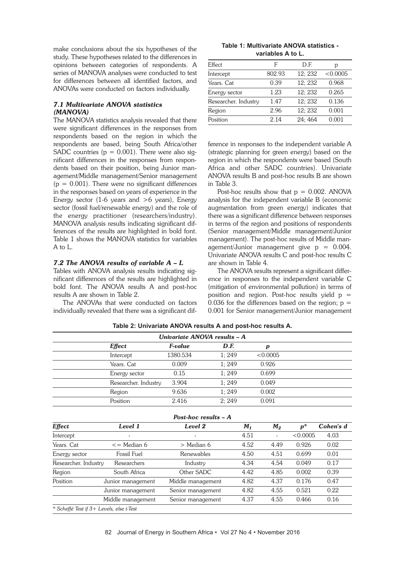make conclusions about the six hypotheses of the study. These hypotheses related to the differences in opinions between categories of respondents. A series of MANOVA analyses were conducted to test for differences between all identified factors, and ANOVAs were conducted on factors individually.

# *7.1 Multivariate ANOVA statistics (MANOVA)*

The MANOVA statistics analysis revealed that there were significant differences in the responses from respondents based on the region in which the respondents are based, being South Africa/other SADC countries ( $p = 0.001$ ). There were also significant differences in the responses from respondents based on their position, being Junior management/Middle management/Senior management  $(p = 0.001)$ . There were no significant differences in the responses based on years of experience in the Energy sector (1-6 years and  $>6$  years), Energy sector (fossil fuel/renewable energy) and the role of the energy practitioner (researchers/industry). MANOVA analysis results indicating significant differences of the results are highlighted in bold font. Table 1 shows the MANOVA statistics for variables A to L.

# *7.2 The ANOVA results of variable A – L*

Tables with ANOVA analysis results indicating significant differences of the results are highlighted in bold font. The ANOVA results A and post-hoc results A are shown in Table 2.

The ANOVAs that were conducted on factors individually revealed that there was a significant dif-

**Table 1: Multivariate ANOVA statistics variables A to L.**

| Effect               | F      | D.E     | р        |
|----------------------|--------|---------|----------|
| Intercept            | 802.93 | 12:232  | < 0.0005 |
| Years. Cat           | 0.39   | 12; 232 | 0.968    |
| Energy sector        | 1.23   | 12:232  | 0.265    |
| Researcher. Industry | 1.47   | 12; 232 | 0.136    |
| Region               | 2.96   | 12; 232 | 0.001    |
| Position             | 2.14   | 24; 464 | 0.001    |

ference in responses to the independent variable A (strategic planning for green energy) based on the region in which the respondents were based (South Africa and other SADC countries). Univariate ANOVA results B and post-hoc results B are shown in Table 3.

Post-hoc results show that  $p = 0.002$ . ANOVA analysis for the independent variable B (economic augmentation from green energy) indicates that there was a significant difference between responses in terms of the region and positions of respondents (Senior management/Middle management/Junior management). The post-hoc results of Middle management/Junior management give  $p = 0.004$ . Univariate ANOVA results C and post-hoc results C are shown in Table 4.

The ANOVA results represent a significant difference in responses to the independent variable C (mitigation of environmental pollution) in terms of position and region. Post-hoc results yield  $p =$ 0.036 for the differences based on the region;  $p =$ 0.001 for Senior management/Junior management

| Univariate ANOVA results - A |          |       |          |  |  |  |  |
|------------------------------|----------|-------|----------|--|--|--|--|
| <b>Effect</b>                | F-value  | D.F.  | p        |  |  |  |  |
| Intercept                    | 1380.534 | 1:249 | < 0.0005 |  |  |  |  |
| Years, Cat                   | 0.009    | 1:249 | 0.926    |  |  |  |  |
| Energy sector                | 0.15     | 1:249 | 0.699    |  |  |  |  |
| Researcher. Industry         | 3.904    | 1:249 | 0.049    |  |  |  |  |
| Region                       | 9.636    | 1:249 | 0.002    |  |  |  |  |
| Position                     | 2.416    | 2:249 | 0.091    |  |  |  |  |

**Table 2: Univariate ANOVA results A and post-hoc results A.**

| Post-hoc results $-A$                    |                     |                   |       |       |          |           |  |
|------------------------------------------|---------------------|-------------------|-------|-------|----------|-----------|--|
| <b>Effect</b>                            | Level 1             | Level 2           | $M_1$ | $M_2$ | $p^*$    | Cohen's d |  |
| Intercept                                | $\overline{a}$      | ۰                 | 4.51  | -     | < 0.0005 | 4.03      |  |
| Years, Cat                               | $\epsilon$ Median 6 | $>$ Median 6      | 4.52  | 4.49  | 0.926    | 0.02      |  |
| Energy sector                            | Fossil Fuel         | Renewables        | 4.50  | 4.51  | 0.699    | 0.01      |  |
| Researcher. Industry                     | Researchers         | Industry          | 4.34  | 4.54  | 0.049    | 0.17      |  |
| Region                                   | South Africa        | Other SADC        | 4.42  | 4.85  | 0.002    | 0.39      |  |
| Position                                 | Junior management   | Middle management | 4.82  | 4.37  | 0.176    | 0.47      |  |
|                                          | Junior management   | Senior management | 4.82  | 4.55  | 0.521    | 0.22      |  |
|                                          | Middle management   | Senior management | 4.37  | 4.55  | 0.466    | 0.16      |  |
| * Scheffé Test if 3+ Levels, else t-Test |                     |                   |       |       |          |           |  |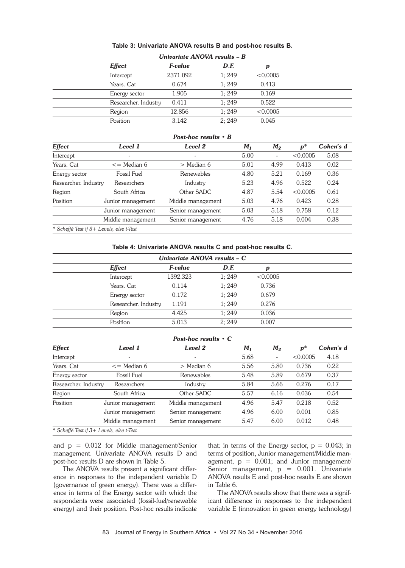| Univariate ANOVA results - B |          |       |          |  |  |  |  |
|------------------------------|----------|-------|----------|--|--|--|--|
| <b>Effect</b>                | F-value  | D.F.  | p        |  |  |  |  |
| Intercept                    | 2371.092 | 1:249 | < 0.0005 |  |  |  |  |
| Years. Cat                   | 0.674    | 1:249 | 0.413    |  |  |  |  |
| Energy sector                | 1.905    | 1:249 | 0.169    |  |  |  |  |
| Researcher. Industry         | 0.411    | 1:249 | 0.522    |  |  |  |  |
| Region                       | 12.856   | 1:249 | < 0.0005 |  |  |  |  |
| Position                     | 3.142    | 2:249 | 0.045    |  |  |  |  |

#### **Table 3: Univariate ANOVA results B and post-hoc results B.**

#### *Post-hoc results • B*

| <b>Effect</b>                            | Level 1                  | Level 2           | $M_1$ | $M_2$ | $p^*$    | Cohen's d |
|------------------------------------------|--------------------------|-------------------|-------|-------|----------|-----------|
| Intercept                                | $\overline{\phantom{0}}$ |                   | 5.00  |       | < 0.0005 | 5.08      |
| Years, Cat                               | $\epsilon$ = Median 6    | $>$ Median 6      | 5.01  | 4.99  | 0.413    | 0.02      |
| Energy sector                            | Fossil Fuel              | Renewables        | 4.80  | 5.21  | 0.169    | 0.36      |
| Researcher. Industry                     | Researchers              | Industry          | 5.23  | 4.96  | 0.522    | 0.24      |
| Region                                   | South Africa             | Other SADC        | 4.87  | 5.54  | < 0.0005 | 0.61      |
| Position                                 | Junior management        | Middle management | 5.03  | 4.76  | 0.423    | 0.28      |
|                                          | Junior management        | Senior management | 5.03  | 5.18  | 0.758    | 0.12      |
|                                          | Middle management        | Senior management | 4.76  | 5.18  | 0.004    | 0.38      |
| * Scheffé Test if 3+ Levels, else t-Test |                          |                   |       |       |          |           |

#### **Table 4: Univariate ANOVA results C and post-hoc results C.**

| Univariate ANOVA results - C |          |       |          |  |  |  |
|------------------------------|----------|-------|----------|--|--|--|
| <b>Effect</b>                | F-value  | D.F.  | p        |  |  |  |
| Intercept                    | 1392.323 | 1:249 | < 0.0005 |  |  |  |
| Years. Cat                   | 0.114    | 1:249 | 0.736    |  |  |  |
| Energy sector                | 0.172    | 1:249 | 0.679    |  |  |  |
| Researcher. Industry         | 1.191    | 1:249 | 0.276    |  |  |  |
| Region                       | 4.425    | 1:249 | 0.036    |  |  |  |
| Position                     | 5.013    | 2:249 | 0.007    |  |  |  |

# *Post-hoc results • C*

| <b>Effect</b>                            | Level 1               | Level 2           | $M_1$ | $M_2$ | $\boldsymbol{p}^*$ | Cohen's d |
|------------------------------------------|-----------------------|-------------------|-------|-------|--------------------|-----------|
| Intercept                                | $\qquad \qquad$       |                   | 5.68  |       | < 0.0005           | 4.18      |
| Years. Cat                               | $\epsilon$ = Median 6 | $>$ Median 6      | 5.56  | 5.80  | 0.736              | 0.22      |
| Energy sector                            | Fossil Fuel           | Renewables        | 5.48  | 5.89  | 0.679              | 0.37      |
| Researcher. Industry                     | Researchers           | Industry          | 5.84  | 5.66  | 0.276              | 0.17      |
| Region                                   | South Africa          | Other SADC        | 5.57  | 6.16  | 0.036              | 0.54      |
| Position                                 | Junior management     | Middle management | 4.96  | 5.47  | 0.218              | 0.52      |
|                                          | Junior management     | Senior management | 4.96  | 6.00  | 0.001              | 0.85      |
|                                          | Middle management     | Senior management | 5.47  | 6.00  | 0.012              | 0.48      |
| * Scheffé Test if 3+ Levels, else t-Test |                       |                   |       |       |                    |           |

and p = 0.012 for Middle management/Senior management. Univariate ANOVA results D and post-hoc results D are shown in Table 5.

The ANOVA results present a significant difference in responses to the independent variable D (governance of green energy). There was a difference in terms of the Energy sector with which the respondents were associated (fossil-fuel/renewable energy) and their position. Post-hoc results indicate

that: in terms of the Energy sector,  $p = 0.043$ ; in terms of position, Junior management/Middle management,  $p = 0.001$ ; and Junior management/ Senior management,  $p = 0.001$ . Univariate ANOVA results E and post-hoc results E are shown in Table 6.

The ANOVA results show that there was a significant difference in responses to the independent variable E (innovation in green energy technology)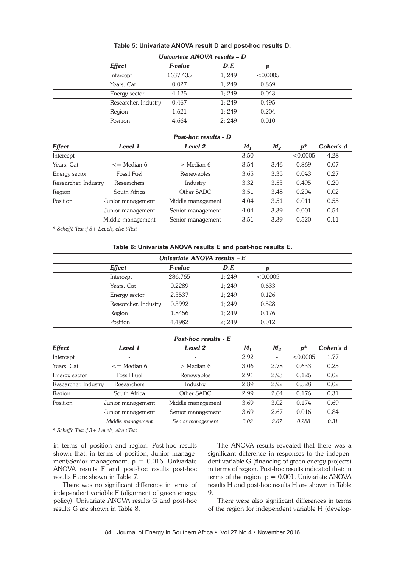| Univariate ANOVA results - D |          |       |          |  |  |  |
|------------------------------|----------|-------|----------|--|--|--|
| <b>Effect</b>                | F-value  | D.F.  | p        |  |  |  |
| Intercept                    | 1637.435 | 1:249 | < 0.0005 |  |  |  |
| Years. Cat                   | 0.027    | 1:249 | 0.869    |  |  |  |
| Energy sector                | 4.125    | 1:249 | 0.043    |  |  |  |
| Researcher. Industry         | 0.467    | 1:249 | 0.495    |  |  |  |
| Region                       | 1.621    | 1:249 | 0.204    |  |  |  |
| Position                     | 4.664    | 2:249 | 0.010    |  |  |  |

#### **Table 5: Univariate ANOVA result D and post-hoc results D.**

# *Post-hoc results - D*

| <b>Effect</b>        | Level 1             | Level 2                  | M <sub>1</sub> | M <sub>2</sub> | $p^*$    | Cohen's d |
|----------------------|---------------------|--------------------------|----------------|----------------|----------|-----------|
| Intercept            | $\qquad \qquad$     | $\overline{\phantom{a}}$ | 3.50           |                | < 0.0005 | 4.28      |
| Years, Cat           | $\epsilon$ Median 6 | > Median 6               | 3.54           | 3.46           | 0.869    | 0.07      |
| Energy sector        | Fossil Fuel         | Renewables               | 3.65           | 3.35           | 0.043    | 0.27      |
| Researcher. Industry | Researchers         | Industry                 | 3.32           | 3.53           | 0.495    | 0.20      |
| Region               | South Africa        | Other SADC               | 3.51           | 3.48           | 0.204    | 0.02      |
| Position             | Junior management   | Middle management        | 4.04           | 3.51           | 0.011    | 0.55      |
|                      | Junior management   | Senior management        | 4.04           | 3.39           | 0.001    | 0.54      |
|                      | Middle management   | Senior management        | 3.51           | 3.39           | 0.520    | 0.11      |
|                      |                     |                          |                |                |          |           |

*\* Scheffé Test if 3+ Levels, else t-Test*

#### **Table 6: Univariate ANOVA results E and post-hoc results E.**

| Univariate ANOVA results - E |                       |       |          |  |  |  |
|------------------------------|-----------------------|-------|----------|--|--|--|
| <b>Effect</b>                | <i><b>F-value</b></i> | D.F.  | p        |  |  |  |
| Intercept                    | 286.765               | 1:249 | < 0.0005 |  |  |  |
| Years. Cat                   | 0.2289                | 1:249 | 0.633    |  |  |  |
| Energy sector                | 2.3537                | 1:249 | 0.126    |  |  |  |
| Researcher. Industry         | 0.3992                | 1:249 | 0.528    |  |  |  |
| Region                       | 1.8456                | 1:249 | 0.176    |  |  |  |
| Position                     | 4.4982                | 2:249 | 0.012    |  |  |  |

# *Post-hoc results - E*

| <b>Effect</b>                            | Level 1               | Level 2           | M <sub>1</sub> | $M_2$ | $p^*$    | Cohen's d |
|------------------------------------------|-----------------------|-------------------|----------------|-------|----------|-----------|
| Intercept                                | $\qquad \qquad$       | ۰                 | 2.92           |       | < 0.0005 | 1.77      |
| Years. Cat                               | $\epsilon$ = Median 6 | > Median 6        | 3.06           | 2.78  | 0.633    | 0.25      |
| Energy sector                            | Fossil Fuel           | Renewables        | 2.91           | 2.93  | 0.126    | 0.02      |
| Researcher. Industry                     | Researchers           | Industry          | 2.89           | 2.92  | 0.528    | 0.02      |
| Region                                   | South Africa          | Other SADC        | 2.99           | 2.64  | 0.176    | 0.31      |
| Position                                 | Junior management     | Middle management | 3.69           | 3.02  | 0.174    | 0.69      |
|                                          | Junior management     | Senior management |                | 2.67  | 0.016    | 0.84      |
|                                          | Middle management     | Senior management | 3.02           | 2.67  | 0.288    | 0.31      |
| * Scheffé Test if 3+ Levels, else t-Test |                       |                   |                |       |          |           |

in terms of position and region. Post-hoc results shown that: in terms of position, Junior management/Senior management,  $p = 0.016$ . Univariate ANOVA results F and post-hoc results post-hoc results F are shown in Table 7.

There was no significant difference in terms of independent variable F (alignment of green energy policy). Univariate ANOVA results G and post-hoc results G are shown in Table 8.

The ANOVA results revealed that there was a significant difference in responses to the independent variable G (financing of green energy projects) in terms of region. Post-hoc results indicated that: in terms of the region,  $p = 0.001$ . Univariate ANOVA results H and post-hoc results H are shown in Table 9.

There were also significant differences in terms of the region for independent variable H (develop-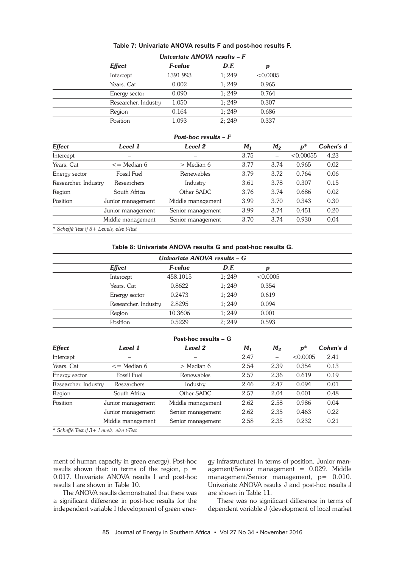| Univariate ANOVA results - F |          |       |          |  |  |  |
|------------------------------|----------|-------|----------|--|--|--|
| <b>Effect</b>                | F-value  | D.F.  | p        |  |  |  |
| Intercept                    | 1391.993 | 1:249 | < 0.0005 |  |  |  |
| Years. Cat                   | 0.002    | 1:249 | 0.965    |  |  |  |
| Energy sector                | 0.090    | 1:249 | 0.764    |  |  |  |
| Researcher. Industry         | 1.050    | 1:249 | 0.307    |  |  |  |
| Region                       | 0.164    | 1:249 | 0.686    |  |  |  |
| Position                     | 1.093    | 2:249 | 0.337    |  |  |  |

#### **Table 7: Univariate ANOVA results F and post-hoc results F.**

# *Post-hoc results – F*

| Effect                                   | Level 1               | Level 2           | M <sub>1</sub> | $M_2$                    | $p^*$     | Cohen's d |
|------------------------------------------|-----------------------|-------------------|----------------|--------------------------|-----------|-----------|
| Intercept                                |                       |                   | 3.75           | $\overline{\phantom{0}}$ | < 0.00055 | 4.23      |
| Years. Cat                               | $\epsilon$ = Median 6 | > Median 6        | 3.77           | 3.74                     | 0.965     | 0.02      |
| Energy sector                            | Fossil Fuel           | Renewables        | 3.79           | 3.72                     | 0.764     | 0.06      |
| Researcher. Industry                     | Researchers           | Industry          | 3.61           | 3.78                     | 0.307     | 0.15      |
| Region                                   | South Africa          | Other SADC        | 3.76           | 3.74                     | 0.686     | 0.02      |
| Position                                 | Junior management     | Middle management | 3.99           | 3.70                     | 0.343     | 0.30      |
|                                          | Junior management     | Senior management | 3.99           | 3.74                     | 0.451     | 0.20      |
|                                          | Middle management     | Senior management | 3.70           | 3.74                     | 0.930     | 0.04      |
| * Scheffé Test if 3+ Levels, else t-Test |                       |                   |                |                          |           |           |

#### **Table 8: Univariate ANOVA results G and post-hoc results G.**

| Univariate ANOVA results - G |          |       |          |  |  |  |  |
|------------------------------|----------|-------|----------|--|--|--|--|
| <b>Effect</b>                | F-value  | D.F.  | p        |  |  |  |  |
| Intercept                    | 458.1015 | 1:249 | < 0.0005 |  |  |  |  |
| Years. Cat                   | 0.8622   | 1:249 | 0.354    |  |  |  |  |
| Energy sector                | 0.2473   | 1:249 | 0.619    |  |  |  |  |
| Researcher. Industry         | 2.8295   | 1:249 | 0.094    |  |  |  |  |
| Region                       | 10.3606  | 1:249 | 0.001    |  |  |  |  |
| Position                     | 0.5229   | 2:249 | 0.593    |  |  |  |  |

# Post-hoc results – G

| <b>Effect</b>                            | Level 1           | Level 2           | $M_1$ | $M_2$ | $p^*$    | Cohen's d |
|------------------------------------------|-------------------|-------------------|-------|-------|----------|-----------|
| Intercept                                |                   |                   | 2.47  |       | < 0.0005 | 2.41      |
| Years, Cat<br>$\epsilon$ = Median 6      |                   | > Median 6        | 2.54  | 2.39  | 0.354    | 0.13      |
| Energy sector                            | Fossil Fuel       | Renewables        | 2.57  | 2.36  | 0.619    | 0.19      |
| Researcher. Industry                     | Researchers       | Industry          | 2.46  | 2.47  | 0.094    | 0.01      |
| Region                                   | South Africa      | Other SADC        | 2.57  | 2.04  | 0.001    | 0.48      |
| Position                                 | Junior management | Middle management | 2.62  | 2.58  | 0.986    | 0.04      |
|                                          | Junior management | Senior management | 2.62  | 2.35  | 0.463    | 0.22      |
|                                          | Middle management | Senior management | 2.58  | 2.35  | 0.232    | 0.21      |
| * Scheffé Test if 3+ Levels, else t-Test |                   |                   |       |       |          |           |

ment of human capacity in green energy). Post-hoc results shown that: in terms of the region,  $p =$ 0.017. Univariate ANOVA results I and post-hoc results I are shown in Table 10.

The ANOVA results demonstrated that there was a significant difference in post-hoc results for the independent variable I (development of green energy infrastructure) in terms of position. Junior man $agent/Senior$  management =  $0.029$ . Middle management/Senior management, p= 0.010. Univariate ANOVA results J and post-hoc results J are shown in Table 11.

There was no significant difference in terms of dependent variable J (development of local market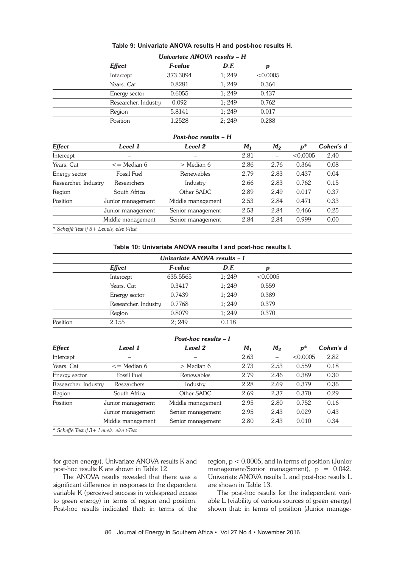| Univariate ANOVA results - H |          |       |          |  |  |  |
|------------------------------|----------|-------|----------|--|--|--|
| <b>Effect</b>                | F-value  | D.F.  | p        |  |  |  |
| Intercept                    | 373.3094 | 1:249 | < 0.0005 |  |  |  |
| Years. Cat                   | 0.8281   | 1:249 | 0.364    |  |  |  |
| Energy sector                | 0.6055   | 1:249 | 0.437    |  |  |  |
| Researcher. Industry         | 0.092    | 1:249 | 0.762    |  |  |  |
| Region                       | 5.8141   | 1:249 | 0.017    |  |  |  |
| Position                     | 1.2528   | 2:249 | 0.288    |  |  |  |

#### **Table 9: Univariate ANOVA results H and post-hoc results H.**

#### *Post-hoc results – H*

| <b>Effect</b>                            | Level 1           | Level 2           | $M_1$ | $M_2$ | $p^*$    | Cohen's d |
|------------------------------------------|-------------------|-------------------|-------|-------|----------|-----------|
| Intercept                                |                   |                   | 2.81  |       | < 0.0005 | 2.40      |
| Years, Cat<br>$\epsilon$ = Median 6      |                   | $>$ Median 6      | 2.86  | 2.76  | 0.364    | 0.08      |
| Energy sector                            | Fossil Fuel       | Renewables        | 2.79  | 2.83  | 0.437    | 0.04      |
| Researcher. Industry                     | Researchers       | Industry          | 2.66  | 2.83  | 0.762    | 0.15      |
| Region                                   | South Africa      | Other SADC        | 2.89  | 2.49  | 0.017    | 0.37      |
| Position                                 | Junior management | Middle management | 2.53  | 2.84  | 0.471    | 0.33      |
|                                          | Junior management | Senior management | 2.53  | 2.84  | 0.466    | 0.25      |
|                                          | Middle management | Senior management | 2.84  | 2.84  | 0.999    | 0.00      |
| * Scheffé Test if 3+ Levels, else t-Test |                   |                   |       |       |          |           |

**Table 10: Univariate ANOVA results I and post-hoc results I.**

|  |  | Table 10: Univariate ANOVA results I and post-noc results I. |  |
|--|--|--------------------------------------------------------------|--|
|  |  |                                                              |  |

| Univariate ANOVA results - I |                      |                       |       |          |  |  |
|------------------------------|----------------------|-----------------------|-------|----------|--|--|
|                              | <b>Effect</b>        | <i><b>F-value</b></i> | D.F.  | р        |  |  |
|                              | Intercept            | 635.5565              | 1:249 | < 0.0005 |  |  |
|                              | Years. Cat           | 0.3417                | 1:249 | 0.559    |  |  |
|                              | Energy sector        | 0.7439                | 1:249 | 0.389    |  |  |
|                              | Researcher. Industry | 0.7768                | 1:249 | 0.379    |  |  |
|                              | Region               | 0.8079                | 1:249 | 0.370    |  |  |
| Position                     | 2.155                | 2:249                 | 0.118 |          |  |  |

# *Post-hoc results – I*

| <b>Effect</b>                            | Level 1           | Level 2           | M <sub>1</sub> | $M_2$ | $p^*$    | Cohen's d |
|------------------------------------------|-------------------|-------------------|----------------|-------|----------|-----------|
| Intercept                                |                   |                   | 2.63           |       | < 0.0005 | 2.82      |
| Years. Cat<br>$\epsilon$ = Median 6      |                   | > Median 6        | 2.73           | 2.53  | 0.559    | 0.18      |
| Energy sector                            | Fossil Fuel       | Renewables        | 2.79           | 2.46  | 0.389    | 0.30      |
| Researcher. Industry                     | Researchers       | Industry          | 2.28           | 2.69  | 0.379    | 0.36      |
| Region                                   | South Africa      | Other SADC        | 2.69           | 2.37  | 0.370    | 0.29      |
| Position                                 | Junior management | Middle management | 2.95           | 2.80  | 0.752    | 0.16      |
|                                          | Junior management | Senior management | 2.95           | 2.43  | 0.029    | 0.43      |
|                                          | Middle management | Senior management | 2.80           | 2.43  | 0.010    | 0.34      |
| * Scheffé Test if 3+ Levels, else t-Test |                   |                   |                |       |          |           |

for green energy). Univariate ANOVA results K and post-hoc results K are shown in Table 12.

The ANOVA results revealed that there was a significant difference in responses to the dependent variable K (perceived success in widespread access to green energy) in terms of region and position. Post-hoc results indicated that: in terms of the

region,  $p < 0.0005$ ; and in terms of position (Junior management/Senior management),  $p = 0.042$ . Univariate ANOVA results L and post-hoc results L are shown in Table 13.

The post-hoc results for the independent variable L (viability of various sources of green energy) shown that: in terms of position (Junior manage-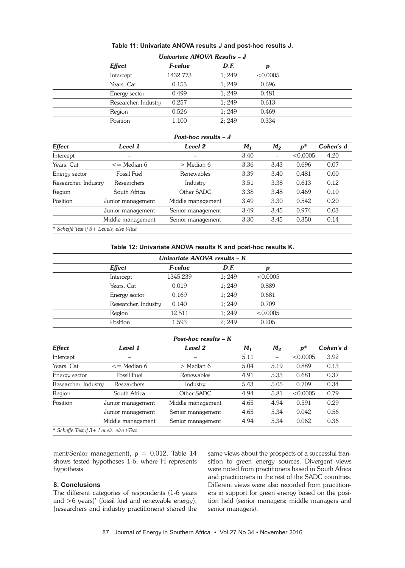| Univariate ANOVA Results - J |          |       |          |  |  |  |  |
|------------------------------|----------|-------|----------|--|--|--|--|
| <b>Effect</b>                | F-value  | D.F.  | p        |  |  |  |  |
| Intercept                    | 1432.773 | 1:249 | < 0.0005 |  |  |  |  |
| Years. Cat                   | 0.153    | 1:249 | 0.696    |  |  |  |  |
| Energy sector                | 0.499    | 1:249 | 0.481    |  |  |  |  |
| Researcher. Industry         | 0.257    | 1:249 | 0.613    |  |  |  |  |
| Region                       | 0.526    | 1:249 | 0.469    |  |  |  |  |
| Position                     | 1.100    | 2:249 | 0.334    |  |  |  |  |

#### **Table 11: Univariate ANOVA results J and post-hoc results J.**

#### *Post-hoc results – J*

| Effect                                   | Level 1                             | Level 2           | $M_1$ | $M_2$                        | $p^*$    | Cohen's d |
|------------------------------------------|-------------------------------------|-------------------|-------|------------------------------|----------|-----------|
| Intercept                                |                                     |                   | 3.40  | $\qquad \qquad \blacksquare$ | < 0.0005 | 4.20      |
| Years. Cat                               | $\epsilon$ Median 6<br>$>$ Median 6 |                   | 3.36  | 3.43                         | 0.696    | 0.07      |
| Energy sector                            | Fossil Fuel                         | Renewables        | 3.39  | 3.40                         | 0.481    | 0.00      |
| Researcher. Industry                     | Researchers                         | Industry          | 3.51  | 3.38                         | 0.613    | 0.12      |
| Region                                   | South Africa                        | Other SADC        | 3.38  | 3.48                         | 0.469    | 0.10      |
| Position                                 | Junior management                   | Middle management | 3.49  | 3.30                         | 0.542    | 0.20      |
|                                          | Junior management                   | Senior management | 3.49  | 3.45                         | 0.974    | 0.03      |
|                                          | Middle management                   | Senior management | 3.30  | 3.45                         | 0.350    | 0.14      |
| * Scheffé Test if 3+ Levels, else t-Test |                                     |                   |       |                              |          |           |

**Table 12: Univariate ANOVA results K and post-hoc results K.**

| Univariate ANOVA results - K |          |       |          |  |  |
|------------------------------|----------|-------|----------|--|--|
| <b>Effect</b>                | F-value  | D.F.  | p        |  |  |
| Intercept                    | 1345.239 | 1:249 | < 0.0005 |  |  |
| Years. Cat                   | 0.019    | 1:249 | 0.889    |  |  |
| Energy sector                | 0.169    | 1:249 | 0.681    |  |  |
| Researcher. Industry         | 0.140    | 1:249 | 0.709    |  |  |
| Region                       | 12.511   | 1:249 | < 0.0005 |  |  |
| Position                     | 1.593    | 2:249 | 0.205    |  |  |

# *Post-hoc results – K*

| Effect                                   | Level 1                               | Level 2           | M <sub>1</sub> | $M_2$ | $p^*$    | Cohen's d |
|------------------------------------------|---------------------------------------|-------------------|----------------|-------|----------|-----------|
| Intercept                                |                                       |                   | 5.11           |       | < 0.0005 | 3.92      |
| Years. Cat                               | $\epsilon$ = Median 6<br>$>$ Median 6 |                   | 5.04           | 5.19  | 0.889    | 0.13      |
| Energy sector                            | Fossil Fuel                           | Renewables        | 4.91           | 5.33  | 0.681    | 0.37      |
| Researcher. Industry                     | Researchers                           | Industry          | 5.43           | 5.05  | 0.709    | 0.34      |
| Region                                   | South Africa                          | Other SADC        | 4.94           | 5.81  | < 0.0005 | 0.79      |
| Position                                 | Junior management                     | Middle management | 4.65           | 4.94  | 0.591    | 0.29      |
|                                          | Junior management                     | Senior management | 4.65           | 5.34  | 0.042    | 0.56      |
|                                          | Middle management                     | Senior management | 4.94           | 5.34  | 0.062    | 0.36      |
| * Scheffé Test if 3+ Levels, else t-Test |                                       |                   |                |       |          |           |

ment/Senior management), p = 0.012. Table 14 shows tested hypotheses 1-6, where H represents hypothesis.

#### **8. Conclusions**

The different categories of respondents (1-6 years and >6 years)' (fossil fuel and renewable energy), (researchers and industry practitioners) shared the

same views about the prospects of a successful transition to green energy sources. Divergent views were noted from practitioners based in South Africa and practitioners in the rest of the SADC countries. Different views were also recorded from practitioners in support for green energy based on the position held (senior managers; middle managers and senior managers).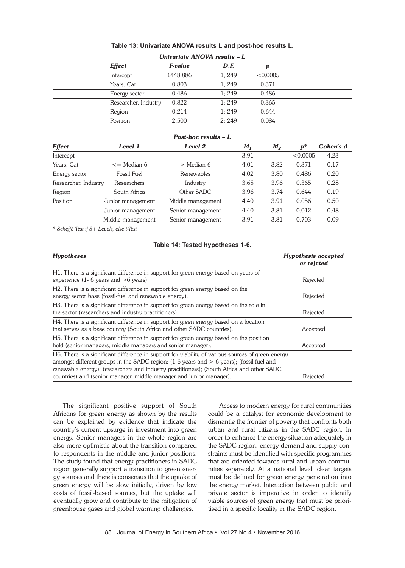| Univariate ANOVA results - L |                      |          |       |          |  |  |  |  |
|------------------------------|----------------------|----------|-------|----------|--|--|--|--|
|                              | <b>Effect</b>        | F-value  | D.F.  | p        |  |  |  |  |
|                              | Intercept            | 1448.886 | 1:249 | < 0.0005 |  |  |  |  |
|                              | Years. Cat           | 0.803    | 1:249 | 0.371    |  |  |  |  |
|                              | Energy sector        | 0.486    | 1:249 | 0.486    |  |  |  |  |
|                              | Researcher. Industry | 0.822    | 1:249 | 0.365    |  |  |  |  |
|                              | Region               | 0.214    | 1:249 | 0.644    |  |  |  |  |
|                              | Position             | 2.500    | 2:249 | 0.084    |  |  |  |  |

#### **Table 13: Univariate ANOVA results L and post-hoc results L.**

# *Post-hoc results – L*

| <b>Effect</b>        | Level 1               | Level 2           | M <sub>1</sub> | $M_2$                        | $p^*$    | Cohen's d |
|----------------------|-----------------------|-------------------|----------------|------------------------------|----------|-----------|
| Intercept            |                       |                   | 3.91           | $\qquad \qquad \blacksquare$ | < 0.0005 | 4.23      |
| Years. Cat           | $\epsilon$ = Median 6 | $>$ Median 6      | 4.01           | 3.82                         | 0.371    | 0.17      |
| Energy sector        | Fossil Fuel           | Renewables        | 4.02           | 3.80                         | 0.486    | 0.20      |
| Researcher. Industry | Researchers           | Industry          | 3.65           | 3.96                         | 0.365    | 0.28      |
| Region               | South Africa          | Other SADC        | 3.96           | 3.74                         | 0.644    | 0.19      |
| Position             | Junior management     | Middle management | 4.40           | 3.91                         | 0.056    | 0.50      |
|                      | Junior management     | Senior management | 4.40           | 3.81                         | 0.012    | 0.48      |
|                      | Middle management     | Senior management | 3.91           | 3.81                         | 0.703    | 0.09      |
|                      |                       |                   |                |                              |          |           |

*\* Scheffé Test if 3+ Levels, else t-Test*

#### **Table 14: Tested hypotheses 1-6.**

| <b>Hypotheses</b>                                                                                 | <b>Hypothesis accepted</b><br>or rejcted |
|---------------------------------------------------------------------------------------------------|------------------------------------------|
| H1. There is a significant difference in support for green energy based on years of               |                                          |
| experience (1- 6 years and $>$ 6 years).                                                          | Rejected                                 |
| H2. There is a significant difference in support for green energy based on the                    |                                          |
| energy sector base (fossil-fuel and renewable energy).                                            | Rejected                                 |
| H3. There is a significant difference in support for green energy based on the role in            |                                          |
| the sector (researchers and industry practitioners).                                              | Rejected                                 |
| H4. There is a significant difference in support for green energy based on a location             |                                          |
| that serves as a base country (South Africa and other SADC countries).                            | Accepted                                 |
| H5. There is a significant difference in support for green energy based on the position           |                                          |
| held (senior managers; middle managers and senior manager).                                       | Accepted                                 |
| H6. There is a significant difference in support for viability of various sources of green energy |                                          |
| amongst different groups in the SADC region: $(1-6$ years and $> 6$ years); (fossil fuel and      |                                          |
| renewable energy); (researchers and industry practitioners); (South Africa and other SADC         |                                          |
| countries) and (senior manager, middle manager and junior manager).                               | Rejected                                 |

The significant positive support of South Africans for green energy as shown by the results can be explained by evidence that indicate the country's current upsurge in investment into green energy. Senior managers in the whole region are also more optimistic about the transition compared to respondents in the middle and junior positions. The study found that energy practitioners in SADC region generally support a transition to green energy sources and there is consensus that the uptake of green energy will be slow initially, driven by low costs of fossil-based sources, but the uptake will eventually grow and contribute to the mitigation of greenhouse gases and global warming challenges.

Access to modern energy for rural communities could be a catalyst for economic development to dismantle the frontier of poverty that confronts both urban and rural citizens in the SADC region. In order to enhance the energy situation adequately in the SADC region, energy demand and supply constraints must be identified with specific programmes that are oriented towards rural and urban communities separately. At a national level, clear targets must be defined for green energy penetration into the energy market. Interaction between public and private sector is imperative in order to identify viable sources of green energy that must be prioritised in a specific locality in the SADC region.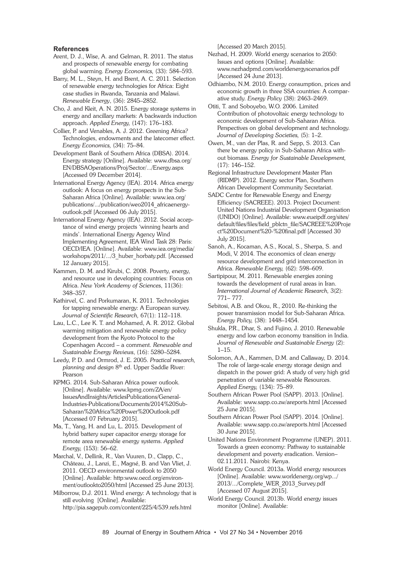#### **References**

- Arent, D. J., Wise, A. and Gelman, R. 2011. The status and prospects of renewable energy for combating global warming. *Energy Economics,* (33): 584–593.
- Barry, M. L., Steyn, H. and Brent, A. C. 2011. Selection of renewable energy technologies for Africa: Eight case studies in Rwanda, Tanzania and Malawi. *Renewable Energy*, (36): 2845–2852.
- Cho, J. and Kleit, A. N. 2015. Energy storage systems in energy and ancillary markets: A backwards induction approach. *Applied Energy,* (147): 176–183.
- Collier, P. and Venables, A. J. 2012. Greening Africa? Technologies, endowments and the latecomer effect. *Energy Economics,* (34): 75–84.
- Development Bank of Southern Africa (DBSA). 2014. Energy strategy [Online]. Available: www.dbsa.org/ EN/DBSAOperations/Proj/Sector/.../Energy.aspx [Accessed 09 December 2014].
- International Energy Agency (IEA). 2014. Africa energy outlook: A focus on energy prospects in the Sub-Saharan Africa [Online]. Available: www.iea.org/ publications/.../publication/weo2014\_africaenergyoutlook.pdf [Accessed 06 July 2015].
- International Energy Agency (IEA). 2012. Social acceptance of wind energy projects 'winning hearts and minds'. International Energy Agency Wind Implementing Agreement, IEA Wind Task 28: Paris: OECD/IEA. [Online]. Available: www.iea.org/media/ workshops/2011/.../3\_huber\_horbaty.pdf. [Accessed 12 January 2015].
- Kammen, D. M. and Kirubi, C. 2008. Poverty, energy, and resource use in developing countries: Focus on Africa. *New York Academy of Sciences*, 11(36): 348–357.
- Kathirvel, C. and Porkumaran, K. 2011. Technologies for tapping renewable energy: A European survey. *Journal of Scientific Research,* 67(1): 112–118.
- Lau, L.C., Lee K. T. and Mohamed, A. R. 2012. Global warming mitigation and renewable energy policy development from the Kyoto Protocol to the Copenhagen Accord – a comment. *Renewable and Sustainable Energy Reviews*, (16): 5280–5284.
- Leedy, P. D. and Ormrod, J. E. 2005. *Practical research, planning and design* 8th ed. Upper Saddle River: Pearson
- KPMG. 2014. Sub-Saharan Africa power outlook. [Online]. Available: www.kpmg.com/ZA/en/ IssuesAndInsights/ArticlesPublications/General-Industries-Publications/Documents/2014%20Sub-Saharan%20Africa%20Power%20Outlook.pdf [Accessed 07 February 2015].
- Ma, T., Yang, H. and Lu, L. 2015. Development of hybrid battery super capacitor energy storage for remote area renewable energy systems. *Applied Energy,* (153): 56–62.
- Marchal, V., Dellink, R., Van Vuuren, D., Clapp, C., Château, J., Lanzi, E., Magné, B. and Van Vliet, J. 2011. OECD environmental outlook to 2050 [Online]. Available: http:www.oecd.org/environment/outlookto2050/html [Accessed 25 June 2013].
- Milborrow, D.J. 2011. Wind energy: A technology that is still evolving [Online]. Available: http://pia.sagepub.com/content/225/4/539.refs.html

[Accessed 20 March 2015].

- Nezhad, H. 2009. World energy scenarios to 2050: Issues and options [Online]. Available: www.nezhadpmd.com/worldenergyscenarios.pdf [Accessed 24 June 2013].
- Odhiambo, N.M. 2010. Energy consumption, prices and economic growth in three SSA countries: A comparative study. *Energy Policy* (38): 2463–2469.
- Otiti, T. and Soboyebo, W.O. 2006. Limited Contribution of photovoltaic energy technology to economic development of Sub-Saharan Africa. Perspectives on global development and technology. *Journal of Developing Societies,* (5): 1–2.
- Owen, M., van der Plas, R. and Sepp, S. 2013. Can there be energy policy in Sub-Saharan Africa without biomass. *Energy for Sustainable Development,* (17): 146–152.
- Regional Infrastructure Development Master Plan (RIDMP). 2012. Energy sector Plan, Southern African Development Community Secretariat.
- SADC Centre for Renewable Energy and Energy Efficiency (SACREEE). 2013. Project Document: United Nations Industrial Development Organisation (UNIDO) [Online]. Available: www.eueipdf.org/sites/ default/files/files/field\_pblctn\_file/SACREEE%20Proje ct%20Document%20-%20final.pdf [Accessed 30 July 2015].
- Sanoh, A., Kocaman, A.S., Kocal, S., Sherpa, S. and Modi, V. 2014. The economics of clean energy resource development and grid interconnection in Africa. *Renewable Energy,* (62): 598–609.
- Sartipipour, M. 2011. Renewable energies zoning towards the development of rural areas in Iran. *International Journal of Academic Research,* 3(2): 771– 777.
- Sebitosi, A.B. and Okou, R., 2010. Re-thinking the power transmission model for Sub-Saharan Africa. *Energy Policy,* (38): 1448–1454.
- Shukla, P.R., Dhar, S. and Fujino, J. 2010. Renewable energy and low carbon economy transition in India. *Journal of Renewable and Sustainable Energy* (2): 1–15.
- Solomon, A.A., Kammen, D.M. and Callaway, D. 2014. The role of large-scale energy storage design and dispatch in the power grid: A study of very high grid penetration of variable renewable Resources. *Applied Energy,* (134): 75–89.
- Southern African Power Pool (SAPP). 2013. [Online]. Available: www.sapp.co.zw/areports.html [Accessed 25 June 2015].
- Southern African Power Pool (SAPP). 2014. [Online]. Available: www.sapp.co.zw/areports.html [Accessed 30 June 2015].
- United Nations Environment Programme (UNEP). 2011. Towards a green economy: Pathway to sustainable development and poverty eradication. Version– 02.11.2011. Nairobi: Kenya.
- World Energy Council. 2013a. World energy resources [Online]. Available: www.worldenergy.org/wp.../ 2013/.../Complete\_WER\_2013\_Survey.pdf [Accessed 07 August 2015].
- World Energy Council. 2013b. World energy issues monitor [Online]. Available: